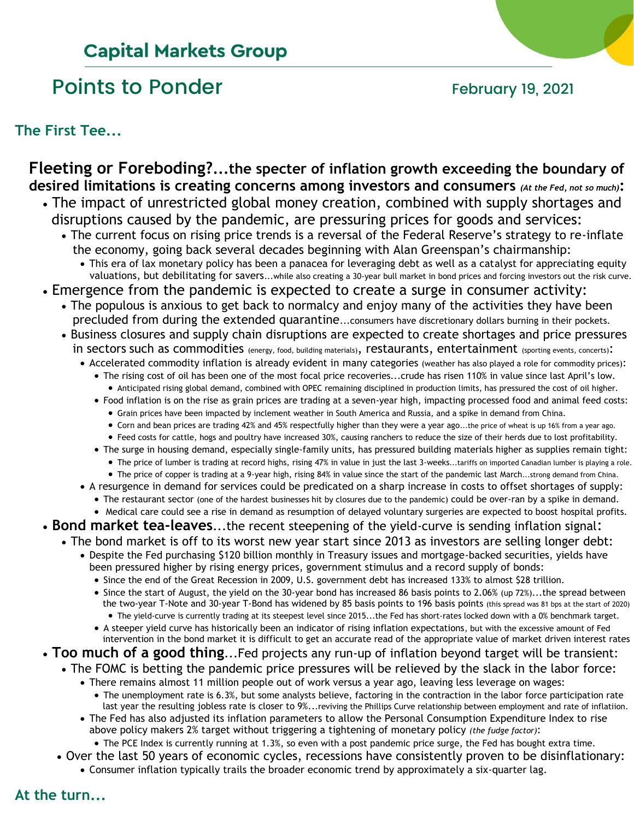### **Capital Markets Group**

### Points to Ponder The Research of the February 19, 2021

**The First Tee...**

### **Fleeting or Foreboding?...the specter of inflation growth exceeding the boundary of desired limitations is creating concerns among investors and consumers** *(At the Fed, not so much)***:**

- The impact of unrestricted global money creation, combined with supply shortages and disruptions caused by the pandemic, are pressuring prices for goods and services:
	- The current focus on rising price trends is a reversal of the Federal Reserve's strategy to re-inflate the economy, going back several decades beginning with Alan Greenspan's chairmanship:
		- This era of lax monetary policy has been a panacea for leveraging debt as well as a catalyst for appreciating equity valuations, but debilitating for savers...while also creating a 30-year bull market in bond prices and forcing investors out the risk curve.
- Emergence from the pandemic is expected to create a surge in consumer activity:
	- The populous is anxious to get back to normalcy and enjoy many of the activities they have been precluded from during the extended quarantine...consumers have discretionary dollars burning in their pockets.
	- Business closures and supply chain disruptions are expected to create shortages and price pressures in sectors such as commodities (energy, food, building materials), restaurants, entertainment (sporting events, concerts):
		- Accelerated commodity inflation is already evident in many categories (weather has also played a role for commodity prices):
			- The rising cost of oil has been one of the most focal price recoveries...crude has risen 110% in value since last April's low. • Anticipated rising global demand, combined with OPEC remaining disciplined in production limits, has pressured the cost of oil higher.
			- Food inflation is on the rise as grain prices are trading at a seven-year high, impacting processed food and animal feed costs:
				- Grain prices have been impacted by inclement weather in South America and Russia, and a spike in demand from China.
				- Corn and bean prices are trading 42% and 45% respectfully higher than they were a year ago...the price of wheat is up 16% from a year ago.
			- Feed costs for cattle, hogs and poultry have increased 30%, causing ranchers to reduce the size of their herds due to lost profitability.
			- The surge in housing demand, especially single-family units, has pressured building materials higher as supplies remain tight: • The price of lumber is trading at record highs, rising 47% in value in just the last 3-weeks...tariffs on imported Canadian lumber is playing a role.
				- The price of copper is trading at a 9-year high, rising 84% in value since the start of the pandemic last March...strong demand from China.
		- A resurgence in demand for services could be predicated on a sharp increase in costs to offset shortages of supply:
			- The restaurant sector (one of the hardest businesses hit by closures due to the pandemic) could be over-ran by a spike in demand.
		- Medical care could see a rise in demand as resumption of delayed voluntary surgeries are expected to boost hospital profits.
- **Bond market tea-leaves**...the recent steepening of the yield-curve is sending inflation signal:
- The bond market is off to its worst new year start since 2013 as investors are selling longer debt:
	- Despite the Fed purchasing \$120 billion monthly in Treasury issues and mortgage-backed securities, yields have been pressured higher by rising energy prices, government stimulus and a record supply of bonds:
		- Since the end of the Great Recession in 2009, U.S. government debt has increased 133% to almost \$28 trillion.
		- Since the start of August, the yield on the 30-year bond has increased 86 basis points to 2.06% (up 72%)...the spread between the two-year T-Note and 30-year T-Bond has widened by 85 basis points to 196 basis points (this spread was 81 bps at the start of 2020) • The yield-curve is currently trading at its steepest level since 2015...the Fed has short-rates locked down with a 0% benchmark target.
		- A steeper yield curve has historically been an indicator of rising inflation expectations, but with the excessive amount of Fed intervention in the bond market it is difficult to get an accurate read of the appropriate value of market driven interest rates
- **Too much of a good thing**...Fed projects any run-up of inflation beyond target will be transient:
	- The FOMC is betting the pandemic price pressures will be relieved by the slack in the labor force:
		- There remains almost 11 million people out of work versus a year ago, leaving less leverage on wages:
		- The unemployment rate is 6.3%, but some analysts believe, factoring in the contraction in the labor force participation rate last year the resulting jobless rate is closer to 9%...reviving the Phillips Curve relationship between employment and rate of inflatiion.
		- The Fed has also adjusted its inflation parameters to allow the Personal Consumption Expenditure Index to rise above policy makers 2% target without triggering a tightening of monetary policy *(the fudge factor)*:
			- The PCE Index is currently running at 1.3%, so even with a post pandemic price surge, the Fed has bought extra time.
	- Over the last 50 years of economic cycles, recessions have consistently proven to be disinflationary:
		- Consumer inflation typically trails the broader economic trend by approximately a six-quarter lag.